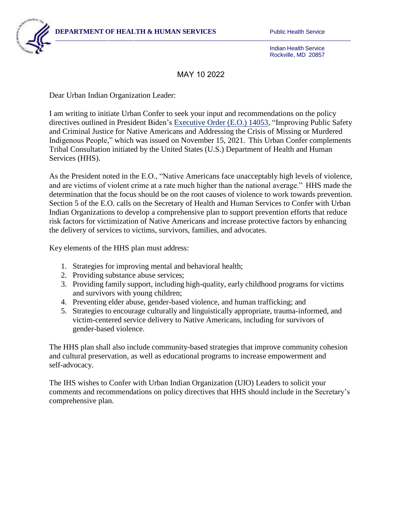

Indian Health Service Rockville, MD 20857

## MAY 10 2022

Dear Urban Indian Organization Leader:

I am writing to initiate Urban Confer to seek your input and recommendations on the policy directives outlined in President Biden's [Executive Order \(E.O.\) 14053, "](https://www.govinfo.gov/content/pkg/FR-2021-11-18/pdf/2021-25287.pdf)Improving Public Safety and Criminal Justice for Native Americans and Addressing the Crisis of Missing or Murdered Indigenous People," which was issued on November 15, 2021. This Urban Confer complements Tribal Consultation initiated by the United States (U.S.) Department of Health and Human Services (HHS).

As the President noted in the E.O., "Native Americans face unacceptably high levels of violence, and are victims of violent crime at a rate much higher than the national average." HHS made the determination that the focus should be on the root causes of violence to work towards prevention. Section 5 of the E.O. calls on the Secretary of Health and Human Services to Confer with Urban Indian Organizations to develop a comprehensive plan to support prevention efforts that reduce risk factors for victimization of Native Americans and increase protective factors by enhancing the delivery of services to victims, survivors, families, and advocates.

Key elements of the HHS plan must address:

- 1. Strategies for improving mental and behavioral health;
- 2. Providing substance abuse services;
- 3. Providing family support, including high-quality, early childhood programs for victims and survivors with young children;
- 4. Preventing elder abuse, gender-based violence, and human trafficking; and
- 5. Strategies to encourage culturally and linguistically appropriate, trauma-informed, and victim-centered service delivery to Native Americans, including for survivors of gender-based violence.

The HHS plan shall also include community-based strategies that improve community cohesion and cultural preservation, as well as educational programs to increase empowerment and self-advocacy.

The IHS wishes to Confer with Urban Indian Organization (UIO) Leaders to solicit your comments and recommendations on policy directives that HHS should include in the Secretary's comprehensive plan.